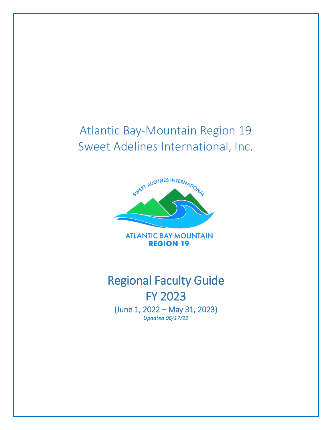## Atlantic Bay-Mountain Region 19 Sweet Adelines International, Inc.



**ATLANTIC BAY-MOUNTAIN REGION 19** 

# Regional Faculty Guide FY 2023 (June 1, 2022 – May 31, 2023)

*Updated 06/17/22*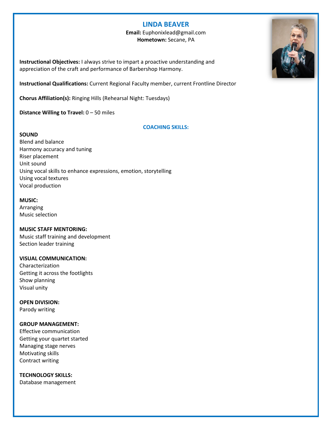#### **LINDA BEAVER**

#### **Email:** Euphonixlead@gmail.com **Hometown:** Secane, PA

**Instructional Objectives:** I always strive to impart a proactive understanding and appreciation of the craft and performance of Barbershop Harmony.

**Instructional Qualifications:** Current Regional Faculty member, current Frontline Director

**Chorus Affiliation(s):** Ringing Hills (Rehearsal Night: Tuesdays)

**Distance Willing to Travel:** 0 – 50 miles

#### **COACHING SKILLS:**

#### **SOUND**

Blend and balance Harmony accuracy and tuning Riser placement Unit sound Using vocal skills to enhance expressions, emotion, storytelling Using vocal textures Vocal production

#### **MUSIC:**

Arranging Music selection

#### **MUSIC STAFF MENTORING:**

Music staff training and development Section leader training

#### **VISUAL COMMUNICATION:**

Characterization Getting it across the footlights Show planning Visual unity

**OPEN DIVISION:** Parody writing

#### **GROUP MANAGEMENT:**

Effective communication Getting your quartet started Managing stage nerves Motivating skills Contract writing

**TECHNOLOGY SKILLS:**

Database management

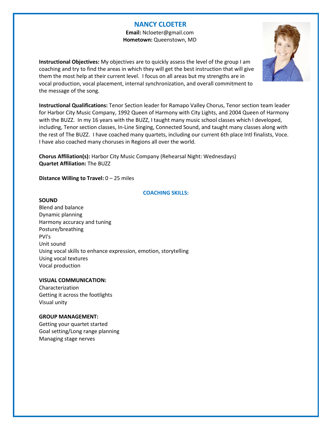#### **NANCY CLOETER**

 **Email:** Ncloeter@gmail.com  **Hometown:** Queenstown, MD

**Instructional Objectives:** My objectives are to quickly assess the level of the group I am coaching and try to find the areas in which they will get the best instruction that will give them the most help at their current level. I focus on all areas but my strengths are in vocal production, vocal placement, internal synchronization, and overall commitment to the message of the song.



**Chorus Affiliation(s):** Harbor City Music Company (Rehearsal Night: Wednesdays) **Quartet Affiliation:** The BUZZ

**Distance Willing to Travel:** 0 – 25 miles

#### **COACHING SKILLS:**

#### **SOUND**

Blend and balance Dynamic planning Harmony accuracy and tuning Posture/breathing PVI's Unit sound Using vocal skills to enhance expression, emotion, storytelling Using vocal textures Vocal production

#### **VISUAL COMMUNICATION:**

Characterization Getting it across the footlights Visual unity

#### **GROUP MANAGEMENT:**

Getting your quartet started Goal setting/Long range planning Managing stage nerves

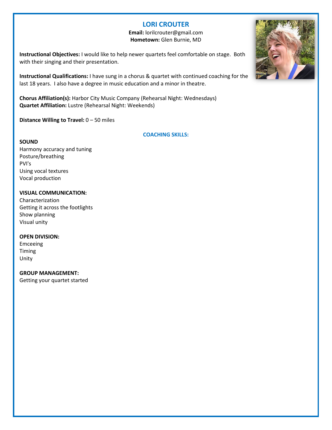### **LORI CROUTER**

**Email:** lorilcrouter@gmail.com **Hometown:** Glen Burnie, MD

**Instructional Objectives:** I would like to help newer quartets feel comfortable on stage. Both with their singing and their presentation.

**Instructional Qualifications:** I have sung in a chorus & quartet with continued coaching for the last 18 years. I also have a degree in music education and a minor in theatre.

**Chorus Affiliation(s):** Harbor City Music Company (Rehearsal Night: Wednesdays) **Quartet Affiliation:** Lustre (Rehearsal Night: Weekends)

**Distance Willing to Travel:** 0 – 50 miles

#### **COACHING SKILLS:**

#### **SOUND**

Harmony accuracy and tuning Posture/breathing PVI's Using vocal textures Vocal production

#### **VISUAL COMMUNICATION:**

Characterization Getting it across the footlights Show planning Visual unity

#### **OPEN DIVISION:**

Emceeing Timing Unity

#### **GROUP MANAGEMENT:**

Getting your quartet started

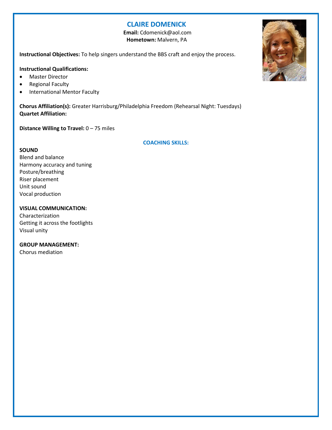#### **CLAIRE DOMENICK**

 **Email:** Cdomenick@aol.com  **Hometown:** Malvern, PA

**Instructional Objectives:** To help singers understand the BBS craft and enjoy the process.

#### **Instructional Qualifications:**

- Master Director
- Regional Faculty
- International Mentor Faculty

**Chorus Affiliation(s):** Greater Harrisburg/Philadelphia Freedom (Rehearsal Night: Tuesdays) **Quartet Affiliation:**

**Distance Willing to Travel:** 0 – 75 miles

**COACHING SKILLS:**

#### **SOUND**

Blend and balance Harmony accuracy and tuning Posture/breathing Riser placement Unit sound Vocal production

#### **VISUAL COMMUNICATION:**

Characterization Getting it across the footlights Visual unity

#### **GROUP MANAGEMENT:**

Chorus mediation

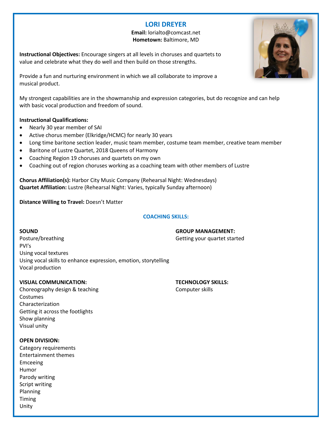### **LORI DREYER**

#### **Email:** lorialto@comcast.net **Hometown:** Baltimore, MD

**Instructional Objectives:** Encourage singers at all levels in choruses and quartets to value and celebrate what they do well and then build on those strengths.

Provide a fun and nurturing environment in which we all collaborate to improve a musical product.

My strongest capabilities are in the showmanship and expression categories, but do recognize and can help with basic vocal production and freedom of sound.

#### **Instructional Qualifications:**

- Nearly 30 year member of SAI
- Active chorus member (Elkridge/HCMC) for nearly 30 years
- Long time baritone section leader, music team member, costume team member, creative team member
- Baritone of Lustre Quartet, 2018 Queens of Harmony
- Coaching Region 19 choruses and quartets on my own
- Coaching out of region choruses working as a coaching team with other members of Lustre

**Chorus Affiliation(s):** Harbor City Music Company (Rehearsal Night: Wednesdays) **Quartet Affiliation:** Lustre (Rehearsal Night: Varies, typically Sunday afternoon)

**Distance Willing to Travel:** Doesn't Matter

#### **COACHING SKILLS:**

**SOUND GROUP MANAGEMENT:** Posture/breathing extending the contract of the Getting your quartet started PVI's Using vocal textures Using vocal skills to enhance expression, emotion, storytelling Vocal production

#### **VISUAL COMMUNICATION: TECHNOLOGY SKILLS:**

Choreography design & teaching Choreography design & teaching Costumes Characterization Getting it across the footlights Show planning Visual unity

#### **OPEN DIVISION:**

Category requirements Entertainment themes Emceeing Humor Parody writing Script writing Planning Timing Unity

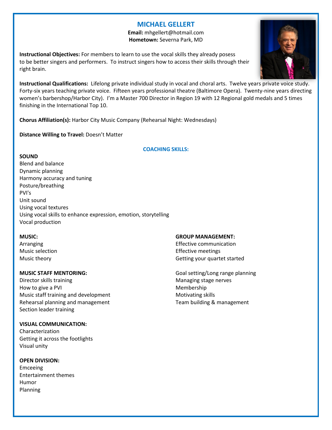### **MICHAEL GELLERT**

**Email:** mhgellert@hotmail.com **Hometown:** Severna Park, MD

**Instructional Objectives:** For members to learn to use the vocal skills they already posess to be better singers and performers. To instruct singers how to access their skills through their right brain.



**Chorus Affiliation(s):** Harbor City Music Company (Rehearsal Night: Wednesdays)

**Distance Willing to Travel:** Doesn't Matter

#### **COACHING SKILLS:**

#### **SOUND**

Blend and balance Dynamic planning Harmony accuracy and tuning Posture/breathing PVI's Unit sound Using vocal textures Using vocal skills to enhance expression, emotion, storytelling Vocal production

Director skills training and a state of the Managing stage nerves How to give a PVI Membership Music staff training and development Motivating skills Rehearsal planning and management Team building & management Section leader training

#### **VISUAL COMMUNICATION:**

Characterization Getting it across the footlights Visual unity

#### **OPEN DIVISION:**

Emceeing Entertainment themes Humor Planning

#### **MUSIC: GROUP MANAGEMENT:**

Arranging **Effective communication** Music selection Effective meetings Music theory **Getting your quartet started** 

**MUSIC STAFF MENTORING:** Material state of the Goal setting/Long range planning

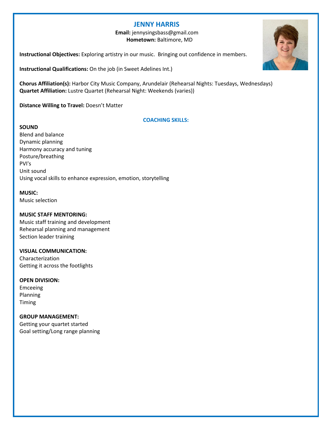#### **JENNY HARRIS**

 **Email:** jennysingsbass@gmail.com  **Hometown:** Baltimore, MD

**Instructional Objectives:** Exploring artistry in our music. Bringing out confidence in members.

**Instructional Qualifications:** On the job (in Sweet Adelines Int.)

**Chorus Affiliation(s):** Harbor City Music Company, Arundelair (Rehearsal Nights: Tuesdays, Wednesdays) **Quartet Affiliation:** Lustre Quartet (Rehearsal Night: Weekends (varies))

**Distance Willing to Travel:** Doesn't Matter

#### **COACHING SKILLS:**

**SOUND** Blend and balance Dynamic planning Harmony accuracy and tuning Posture/breathing PVI's Unit sound Using vocal skills to enhance expression, emotion, storytelling

**MUSIC:** Music selection

#### **MUSIC STAFF MENTORING:**

Music staff training and development Rehearsal planning and management Section leader training

#### **VISUAL COMMUNICATION:**

Characterization Getting it across the footlights

#### **OPEN DIVISION:**

Emceeing Planning Timing

#### **GROUP MANAGEMENT:**

Getting your quartet started Goal setting/Long range planning

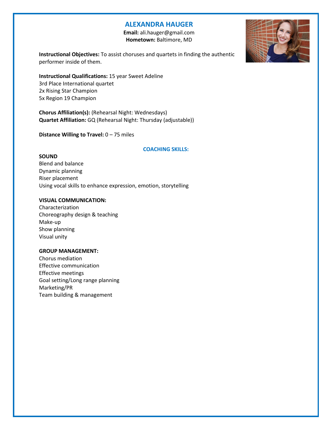#### **ALEXANDRA HAUGER**

 **Email:** ali.hauger@gmail.com  **Hometown:** Baltimore, MD



**Instructional Objectives:** To assist choruses and quartets in finding the authentic performer inside of them.

**Instructional Qualifications:** 15 year Sweet Adeline 3rd Place International quartet 2x Rising Star Champion 5x Region 19 Champion

**Chorus Affiliation(s):** (Rehearsal Night: Wednesdays) **Quartet Affiliation:** GQ (Rehearsal Night: Thursday (adjustable))

**Distance Willing to Travel:** 0 – 75 miles

#### **COACHING SKILLS:**

#### **SOUND**

Blend and balance Dynamic planning Riser placement Using vocal skills to enhance expression, emotion, storytelling

#### **VISUAL COMMUNICATION:**

Characterization Choreography design & teaching Make-up Show planning Visual unity

#### **GROUP MANAGEMENT:**

Chorus mediation Effective communication Effective meetings Goal setting/Long range planning Marketing/PR Team building & management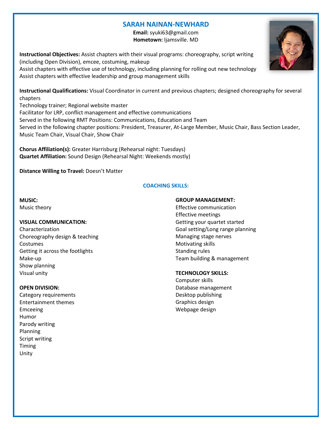#### **SARAH NAINAN-NEWHARD**

**Email:** syuki63@gmail.com **Hometown:** Ijamsville. MD

**Instructional Objectives:** Assist chapters with their visual programs: choreography, script writing (including Open Division), emcee, costuming, makeup Assist chapters with effective use of technology, including planning for rolling out new technology Assist chapters with effective leadership and group management skills

**Instructional Qualifications:** Visual Coordinator in current and previous chapters; designed choreography for several chapters

Technology trainer; Regional website master Facilitator for LRP, conflict management and effective communications Served in the following RMT Positions: Communications, Education and Team Served in the following chapter positions: President, Treasurer, At-Large Member, Music Chair, Bass Section Leader, Music Team Chair, Visual Chair, Show Chair

**Chorus Affiliation(s):** Greater Harrisburg (Rehearsal night: Tuesdays) **Quartet Affiliation:** Sound Design (Rehearsal Night: Weekends mostly)

**Distance Willing to Travel:** Doesn't Matter

#### **COACHING SKILLS:**

**MUSIC:** Music theory

#### **VISUAL COMMUNICATION:**

Characterization Choreography design & teaching Costumes Getting it across the footlights Make-up Show planning Visual unity

#### **OPEN DIVISION:**

Category requirements Entertainment themes Emceeing Humor Parody writing Planning Script writing Timing Unity

#### **GROUP MANAGEMENT:**

Effective communication Effective meetings Getting your quartet started Goal setting/Long range planning Managing stage nerves Motivating skills Standing rules Team building & management

#### **TECHNOLOGY SKILLS:**

Computer skills Database management Desktop publishing Graphics design Webpage design

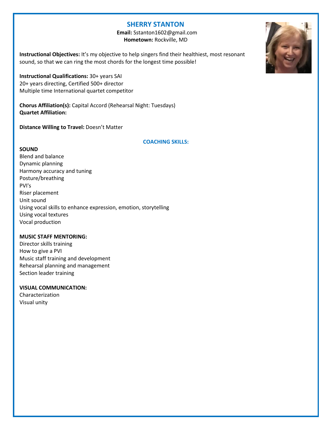#### **SHERRY STANTON**

 **Email:** Sstanton1602@gmail.com  **Hometown:** Rockville, MD

**Instructional Objectives:** It's my objective to help singers find their healthiest, most resonant sound, so that we can ring the most chords for the longest time possible!

**Instructional Qualifications:** 30+ years SAI 20+ years directing, Certified 500+ director Multiple time International quartet competitor

**Chorus Affiliation(s):** Capital Accord (Rehearsal Night: Tuesdays) **Quartet Affiliation:**

**Distance Willing to Travel:** Doesn't Matter

#### **COACHING SKILLS:**

#### **SOUND**

Blend and balance Dynamic planning Harmony accuracy and tuning Posture/breathing PVI's Riser placement Unit sound Using vocal skills to enhance expression, emotion, storytelling Using vocal textures Vocal production

#### **MUSIC STAFF MENTORING:**

Director skills training How to give a PVI Music staff training and development Rehearsal planning and management Section leader training

#### **VISUAL COMMUNICATION:**

Characterization Visual unity

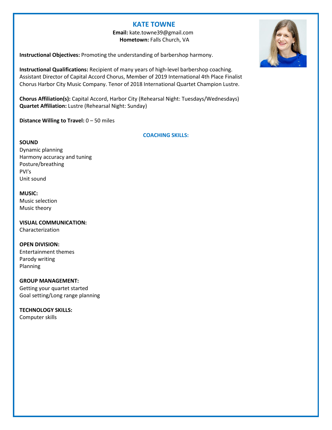#### **KATE TOWNE**

 **Email:** kate.towne39@gmail.com  **Hometown:** Falls Church, VA

**Instructional Objectives:** Promoting the understanding of barbershop harmony.

**Instructional Qualifications:** Recipient of many years of high-level barbershop coaching. Assistant Director of Capital Accord Chorus, Member of 2019 International 4th Place Finalist Chorus Harbor City Music Company. Tenor of 2018 International Quartet Champion Lustre.

**Chorus Affiliation(s):** Capital Accord, Harbor City (Rehearsal Night: Tuesdays/Wednesdays) **Quartet Affiliation:** Lustre (Rehearsal Night: Sunday)

**Distance Willing to Travel:** 0 – 50 miles

#### **COACHING SKILLS:**

#### **SOUND**

Dynamic planning Harmony accuracy and tuning Posture/breathing PVI's Unit sound

#### **MUSIC:**

Music selection Music theory

#### **VISUAL COMMUNICATION:** Characterization

#### **OPEN DIVISION:**

Entertainment themes Parody writing Planning

#### **GROUP MANAGEMENT:**

Getting your quartet started Goal setting/Long range planning

#### **TECHNOLOGY SKILLS:**

Computer skills

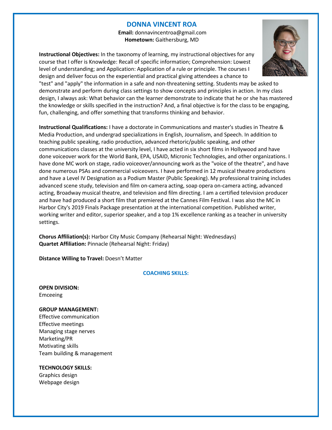#### **DONNA VINCENT ROA**

 **Email:** donnavincentroa@gmail.com  **Hometown:** Gaithersburg, MD

**Instructional Objectives:** In the taxonomy of learning, my instructional objectives for any course that I offer is Knowledge: Recall of specific information; Comprehension: Lowest level of understanding; and Application: Application of a rule or principle. The courses I design and deliver focus on the experiential and practical giving attendees a chance to



"test" and "apply" the information in a safe and non-threatening setting. Students may be asked to demonstrate and perform during class settings to show concepts and principles in action. In my class design, I always ask: What behavior can the learner demonstrate to indicate that he or she has mastered the knowledge or skills specified in the instruction? And, a final objective is for the class to be engaging, fun, challenging, and offer something that transforms thinking and behavior.

**Instructional Qualifications:** I have a doctorate in Communications and master's studies in Theatre & Media Production, and undergrad specializations in English, Journalism, and Speech. In addition to teaching public speaking, radio production, advanced rhetoric/public speaking, and other communications classes at the university level, I have acted in six short films in Hollywood and have done voiceover work for the World Bank, EPA, USAID, Micronic Technologies, and other organizations. I have done MC work on stage, radio voiceover/announcing work as the "voice of the theatre", and have done numerous PSAs and commercial voiceovers. I have performed in 12 musical theatre productions and have a Level IV Designation as a Podium Master (Public Speaking). My professional training includes advanced scene study, television and film on-camera acting, soap opera on-camera acting, advanced acting, Broadway musical theatre, and television and film directing. I am a certified television producer and have had produced a short film that premiered at the Cannes Film Festival. I was also the MC in Harbor City's 2019 Finals Package presentation at the international competition. Published writer, working writer and editor, superior speaker, and a top 1% excellence ranking as a teacher in university settings.

**Chorus Affiliation(s):** Harbor City Music Company (Rehearsal Night: Wednesdays) **Quartet Affiliation:** Pinnacle (Rehearsal Night: Friday)

**Distance Willing to Travel:** Doesn't Matter

#### **COACHING SKILLS:**

**OPEN DIVISION:** Emceeing

#### **GROUP MANAGEMENT:**

Effective communication Effective meetings Managing stage nerves Marketing/PR Motivating skills Team building & management

#### **TECHNOLOGY SKILLS:**

Graphics design Webpage design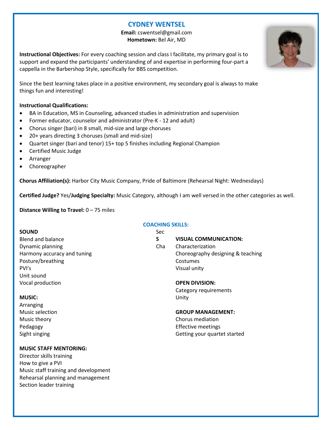### **CYDNEY WENTSEL**

**Email:** cswentsel@gmail.com **Hometown:** Bel Air, MD

**Instructional Objectives:** For every coaching session and class I facilitate, my primary goal is to support and expand the participants' understanding of and expertise in performing four-part a cappella in the Barbershop Style, specifically for BBS competition.

Since the best learning takes place in a positive environment, my secondary goal is always to make things fun and interesting!

#### **Instructional Qualifications:**

- BA in Education, MS in Counseling, advanced studies in administration and supervision
- Former educator, counselor and administrator (Pre-K 12 and adult)
- Chorus singer (bari) in 8 small, mid-size and large choruses
- 20+ years directing 3 choruses (small and mid-size)
- Quartet singer (bari and tenor) 15+ top 5 finishes including Regional Champion
- Certified Music Judge
- Arranger
- Choreographer

**Chorus Affiliation(s):** Harbor City Music Company, Pride of Baltimore (Rehearsal Night: Wednesdays)

**Certified Judge?** Yes/**Judging Specialty:** Music Category, although I am well versed in the other categories as well.

**Distance Willing to Travel:** 0 – 75 miles

#### **SOUND**

Blend and balance Dynamic planning Harmony accuracy and tuning Posture/breathing PVI's Unit sound Vocal production

#### **MUSIC:**

Arranging Music selection Music theory Pedagogy Sight singing

#### **MUSIC STAFF MENTORING:**

Director skills training How to give a PVI Music staff training and development Rehearsal planning and management Section leader training

#### **COACHING SKILLS:**

Sec **S VISUAL COMMUNICATION:** Cha Characterization Choreography designing & teaching Costumes Visual unity

#### **OPEN DIVISION:**

Category requirements Unity

#### **GROUP MANAGEMENT:**

Chorus mediation Effective meetings Getting your quartet started

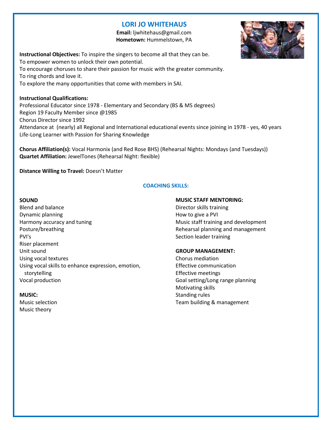### **LORI JO WHITEHAUS**

 **Email:** ljwhitehaus@gmail.com  **Hometown:** Hummelstown, PA



**Instructional Objectives:** To inspire the singers to become all that they can be. To empower women to unlock their own potential. To encourage choruses to share their passion for music with the greater community. To ring chords and love it. To explore the many opportunities that come with members in SAI.

**Instructional Qualifications:** Professional Educator since 1978 - Elementary and Secondary (BS & MS degrees) Region 19 Faculty Member since @1985 Chorus Director since 1992 Attendance at (nearly) all Regional and International educational events since joining in 1978 - yes, 40 years Life-Long Learner with Passion for Sharing Knowledge

**Chorus Affiliation(s):** Vocal Harmonix (and Red Rose BHS) (Rehearsal Nights: Mondays (and Tuesdays)) **Quartet Affiliation:** JewelTones (Rehearsal Night: flexible)

**Distance Willing to Travel:** Doesn't Matter

#### **COACHING SKILLS:**

#### **SOUND**

Blend and balance Dynamic planning Harmony accuracy and tuning Posture/breathing PVI's Riser placement Unit sound Using vocal textures Using vocal skills to enhance expression, emotion, storytelling Vocal production

#### **MUSIC:**

Music selection Music theory

#### **MUSIC STAFF MENTORING:**

Director skills training How to give a PVI Music staff training and development Rehearsal planning and management Section leader training

#### **GROUP MANAGEMENT:**

Chorus mediation Effective communication Effective meetings Goal setting/Long range planning Motivating skills Standing rules Team building & management